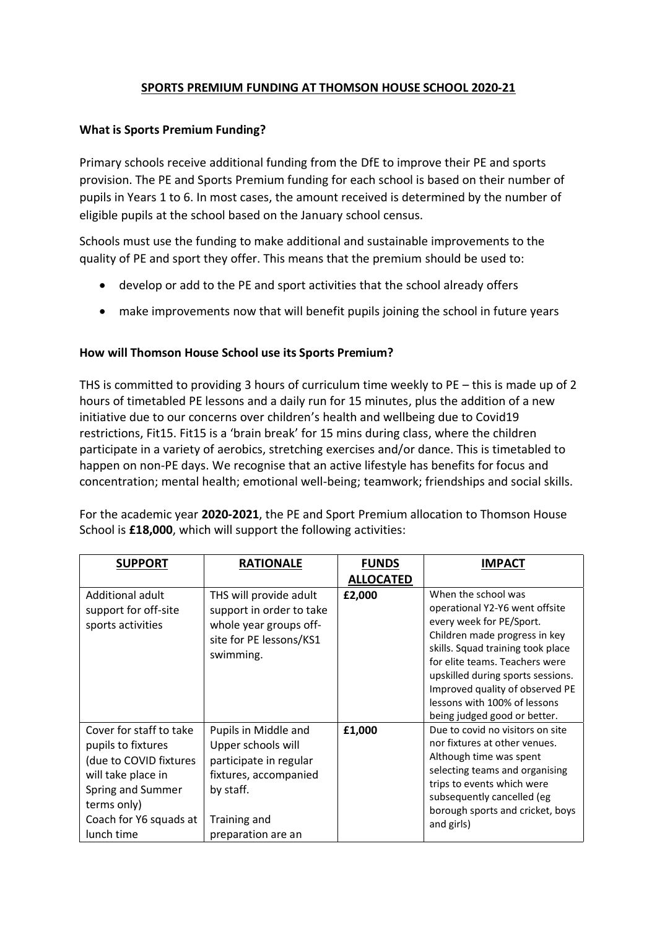## **SPORTS PREMIUM FUNDING AT THOMSON HOUSE SCHOOL 2020-21**

## **What is Sports Premium Funding?**

Primary schools receive additional funding from the DfE to improve their PE and sports provision. The PE and Sports Premium funding for each school is based on their number of pupils in Years 1 to 6. In most cases, the amount received is determined by the number of eligible pupils at the school based on the January school census.

Schools must use the funding to make additional and sustainable improvements to the quality of PE and sport they offer. This means that the premium should be used to:

- develop or add to the PE and sport activities that the school already offers
- make improvements now that will benefit pupils joining the school in future years

## **How will Thomson House School use its Sports Premium?**

THS is committed to providing 3 hours of curriculum time weekly to PE – this is made up of 2 hours of timetabled PE lessons and a daily run for 15 minutes, plus the addition of a new initiative due to our concerns over children's health and wellbeing due to Covid19 restrictions, Fit15. Fit15 is a 'brain break' for 15 mins during class, where the children participate in a variety of aerobics, stretching exercises and/or dance. This is timetabled to happen on non-PE days. We recognise that an active lifestyle has benefits for focus and concentration; mental health; emotional well-being; teamwork; friendships and social skills.

For the academic year **2020-2021**, the PE and Sport Premium allocation to Thomson House School is **£18,000**, which will support the following activities:

| <b>SUPPORT</b>                                                                                                                                                            | <b>RATIONALE</b>                                                                                                                                 | <b>FUNDS</b>     | <b>IMPACT</b>                                                                                                                                                                                                                                                                                                                     |
|---------------------------------------------------------------------------------------------------------------------------------------------------------------------------|--------------------------------------------------------------------------------------------------------------------------------------------------|------------------|-----------------------------------------------------------------------------------------------------------------------------------------------------------------------------------------------------------------------------------------------------------------------------------------------------------------------------------|
|                                                                                                                                                                           |                                                                                                                                                  | <b>ALLOCATED</b> |                                                                                                                                                                                                                                                                                                                                   |
| Additional adult<br>support for off-site<br>sports activities                                                                                                             | THS will provide adult<br>support in order to take<br>whole year groups off-<br>site for PE lessons/KS1<br>swimming.                             | £2,000           | When the school was<br>operational Y2-Y6 went offsite<br>every week for PE/Sport.<br>Children made progress in key<br>skills. Squad training took place<br>for elite teams. Teachers were<br>upskilled during sports sessions.<br>Improved quality of observed PE<br>lessons with 100% of lessons<br>being judged good or better. |
| Cover for staff to take<br>pupils to fixtures<br>(due to COVID fixtures<br>will take place in<br>Spring and Summer<br>terms only)<br>Coach for Y6 squads at<br>lunch time | Pupils in Middle and<br>Upper schools will<br>participate in regular<br>fixtures, accompanied<br>by staff.<br>Training and<br>preparation are an | £1,000           | Due to covid no visitors on site<br>nor fixtures at other venues.<br>Although time was spent<br>selecting teams and organising<br>trips to events which were<br>subsequently cancelled (eg<br>borough sports and cricket, boys<br>and girls)                                                                                      |